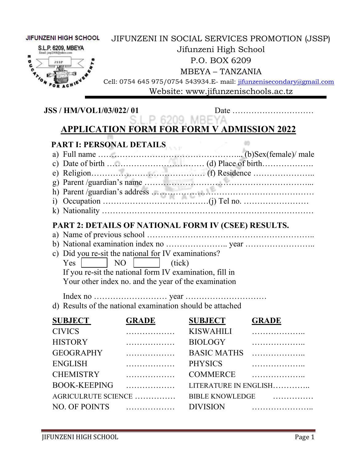| <b>JIFUNZENI HIGH SCHOOL</b><br>S.L.P. 6209, MBEYA<br>e<br>G |                                                                                                                                                                                                                                                                                                                                                                                  | Jifunzeni High School<br>P.O. BOX 6209<br><b>MBEYA - TANZANIA</b><br>Website: www.jifunzenischools.ac.tz | JIFUNZENI IN SOCIAL SERVICES PROMOTION (JSSP)<br>Cell: 0754 645 975/0754 543934.E- mail: jifunzenisecondary@gmail.com |
|--------------------------------------------------------------|----------------------------------------------------------------------------------------------------------------------------------------------------------------------------------------------------------------------------------------------------------------------------------------------------------------------------------------------------------------------------------|----------------------------------------------------------------------------------------------------------|-----------------------------------------------------------------------------------------------------------------------|
| <b>JSS / HM/VOL1/03/022/01</b>                               |                                                                                                                                                                                                                                                                                                                                                                                  |                                                                                                          |                                                                                                                       |
|                                                              | S.L.P. 6209, MBEYA<br><b>APPLICATION FORM FOR FORM V ADMISSION 2022</b>                                                                                                                                                                                                                                                                                                          |                                                                                                          |                                                                                                                       |
| Yes                                                          | PART I: PERSONAL DETAILS<br>a) Full name $\ldots$ (b)Sex(female)/ male<br>c) Date of birth $\ldots$ (d) Place of birth $\ldots$<br>PART 2: DETAILS OF NATIONAL FORM IV (CSEE) RESULTS.<br>c) Did you re-sit the national for IV examinations?<br>NO<br>(tick)<br>If you re-sit the national form IV examination, fill in<br>Your other index no. and the year of the examination |                                                                                                          |                                                                                                                       |
|                                                              | d) Results of the national examination should be attached                                                                                                                                                                                                                                                                                                                        |                                                                                                          |                                                                                                                       |
| <b>SUBJECT</b>                                               | <b>GRADE</b>                                                                                                                                                                                                                                                                                                                                                                     | <b>SUBJECT</b>                                                                                           | <b>GRADE</b>                                                                                                          |
| <b>CIVICS</b>                                                | .                                                                                                                                                                                                                                                                                                                                                                                | <b>KISWAHILI</b>                                                                                         |                                                                                                                       |
| <b>HISTORY</b>                                               | .                                                                                                                                                                                                                                                                                                                                                                                | <b>BIOLOGY</b>                                                                                           | .                                                                                                                     |
| <b>GEOGRAPHY</b>                                             | .                                                                                                                                                                                                                                                                                                                                                                                | <b>BASIC MATHS</b>                                                                                       | .                                                                                                                     |
| <b>ENGLISH</b>                                               | .                                                                                                                                                                                                                                                                                                                                                                                | <b>PHYSICS</b>                                                                                           | .                                                                                                                     |
| <b>CHEMISTRY</b>                                             | .                                                                                                                                                                                                                                                                                                                                                                                | <b>COMMERCE</b>                                                                                          |                                                                                                                       |
| <b>BOOK-KEEPING</b>                                          | .                                                                                                                                                                                                                                                                                                                                                                                |                                                                                                          | LITERATURE IN ENGLISH                                                                                                 |
| AGRICULRUTE SCIENCE                                          |                                                                                                                                                                                                                                                                                                                                                                                  | <b>BIBLE KNOWLEDGE</b>                                                                                   |                                                                                                                       |

NO. OF POINTS ……………… DIVISION …………………..